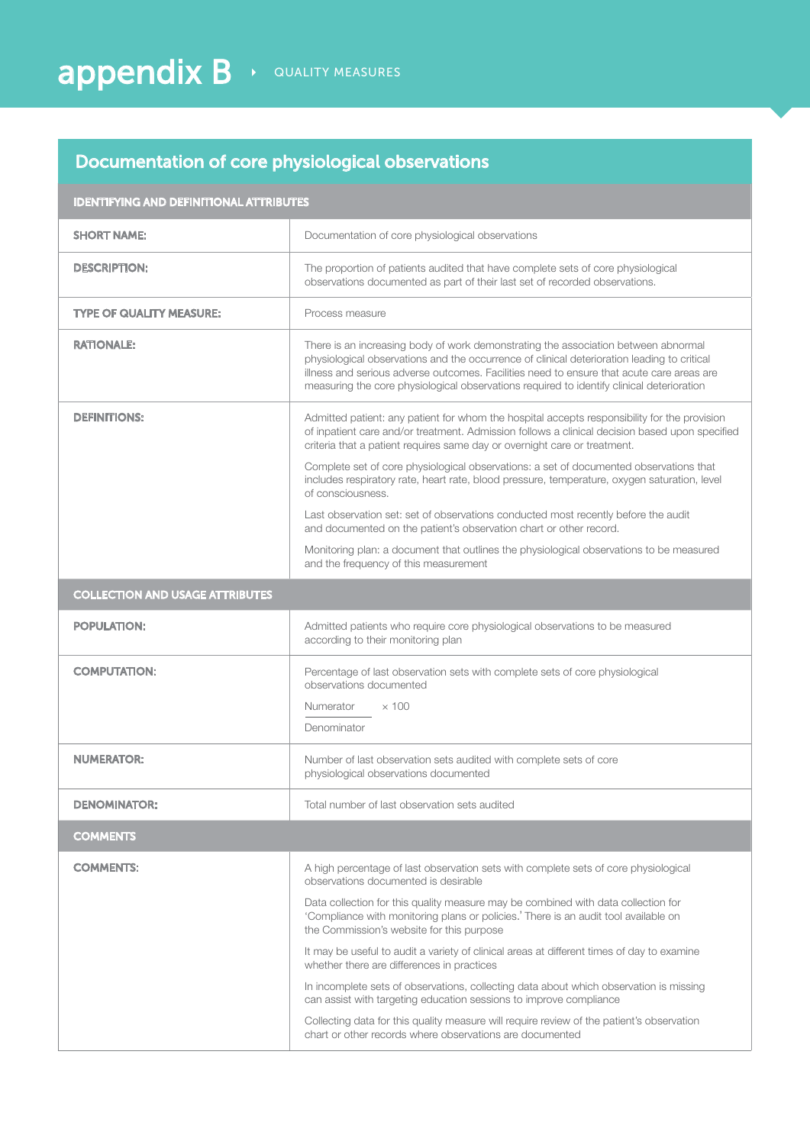## Documentation of core physiological observations

| <b>IDENTIFYING AND DEFINITIONAL ATTRIBUTES</b> |                                                                                                                                                                                                                                                                                                                                                                             |
|------------------------------------------------|-----------------------------------------------------------------------------------------------------------------------------------------------------------------------------------------------------------------------------------------------------------------------------------------------------------------------------------------------------------------------------|
| <b>SHORT NAME:</b>                             | Documentation of core physiological observations                                                                                                                                                                                                                                                                                                                            |
| <b>DESCRIPTION:</b>                            | The proportion of patients audited that have complete sets of core physiological<br>observations documented as part of their last set of recorded observations.                                                                                                                                                                                                             |
| <b>TYPE OF QUALITY MEASURE:</b>                | Process measure                                                                                                                                                                                                                                                                                                                                                             |
| <b>RATIONALE:</b>                              | There is an increasing body of work demonstrating the association between abnormal<br>physiological observations and the occurrence of clinical deterioration leading to critical<br>illness and serious adverse outcomes. Facilities need to ensure that acute care areas are<br>measuring the core physiological observations required to identify clinical deterioration |
| <b>DEFINITIONS:</b>                            | Admitted patient: any patient for whom the hospital accepts responsibility for the provision<br>of inpatient care and/or treatment. Admission follows a clinical decision based upon specified<br>criteria that a patient requires same day or overnight care or treatment.                                                                                                 |
|                                                | Complete set of core physiological observations: a set of documented observations that<br>includes respiratory rate, heart rate, blood pressure, temperature, oxygen saturation, level<br>of consciousness.                                                                                                                                                                 |
|                                                | Last observation set: set of observations conducted most recently before the audit<br>and documented on the patient's observation chart or other record.                                                                                                                                                                                                                    |
|                                                | Monitoring plan: a document that outlines the physiological observations to be measured<br>and the frequency of this measurement                                                                                                                                                                                                                                            |
| <b>COLLECTION AND USAGE ATTRIBUTES</b>         |                                                                                                                                                                                                                                                                                                                                                                             |
| <b>POPULATION:</b>                             | Admitted patients who require core physiological observations to be measured<br>according to their monitoring plan                                                                                                                                                                                                                                                          |
| <b>COMPUTATION:</b>                            | Percentage of last observation sets with complete sets of core physiological<br>observations documented                                                                                                                                                                                                                                                                     |
|                                                | Numerator<br>$\times$ 100                                                                                                                                                                                                                                                                                                                                                   |
|                                                | Denominator                                                                                                                                                                                                                                                                                                                                                                 |
| <b>NUMERATOR:</b>                              | Number of last observation sets audited with complete sets of core<br>physiological observations documented                                                                                                                                                                                                                                                                 |
| <b>DENOMINATOR:</b>                            | Total number of last observation sets audited                                                                                                                                                                                                                                                                                                                               |
| <b>COMMENTS</b>                                |                                                                                                                                                                                                                                                                                                                                                                             |
| <b>COMMENTS:</b>                               | A high percentage of last observation sets with complete sets of core physiological<br>observations documented is desirable                                                                                                                                                                                                                                                 |
|                                                | Data collection for this quality measure may be combined with data collection for<br>'Compliance with monitoring plans or policies.' There is an audit tool available on<br>the Commission's website for this purpose                                                                                                                                                       |
|                                                | It may be useful to audit a variety of clinical areas at different times of day to examine<br>whether there are differences in practices                                                                                                                                                                                                                                    |
|                                                | In incomplete sets of observations, collecting data about which observation is missing<br>can assist with targeting education sessions to improve compliance                                                                                                                                                                                                                |
|                                                | Collecting data for this quality measure will require review of the patient's observation<br>chart or other records where observations are documented                                                                                                                                                                                                                       |